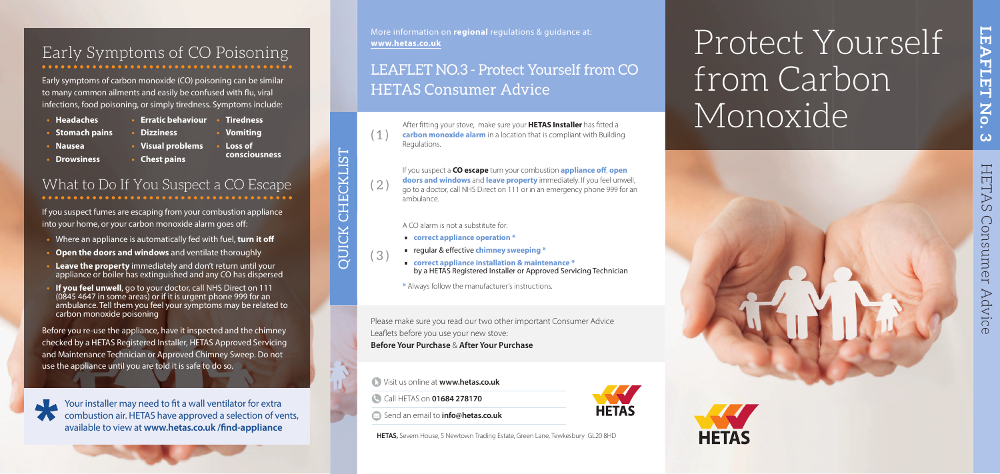# Protect Yourself from Carbon Monoxide

HETAS HETAS Consumer Advice Consumer Advice

**LEAFLET No. 3**

No.

 $\omega$ 

**LEAFLET** 

### Early Symptoms of CO Poisoning

Early symptoms of carbon monoxide (CO) poisoning can be similar to many common ailments and easily be confused with flu, viral infections, food poisoning, or simply tiredness. Symptoms include:

If you suspect fumes are escaping from your combustion appliance into your home, or your carbon monoxide alarm goes off:

- **Stomach pains**
- **Nausea**
- **Headaches**
- **Erratic behaviour Tiredness**

**• Dizziness** 

- **Visual problems**
- **Drowsiness**
- **Chest pains**

**• Vomiting • Loss of** 

**consciousness**

### What to Do If You Suspect a CO Escape

- Where an appliance is automatically fed with fuel, **turn it off**
- **Open the doors and windows** and ventilate thoroughly
- **Leave the property** immediately and don't return until your appliance or boiler has extinguished and any CO has dispersed
- **If you feel unwell**, go to your doctor, call NHS Direct on 111 (0845 4647 in some areas) or if it is urgent phone 999 for an ambulance. Tell them you feel your symptoms may be related to carbon monoxide poisoning

After fitting your stove, make sure your **HETAS Installer** has fitted a **carbon monoxide alarm** in a location that is compliant with Building Regulations.

 $(2)$ 

If you suspect a **CO escape** turn your combustion **appliance off, open doors and windows** and **leave property** immediately. If you feel unwell, go to a doctor, call NHS Direct on 111 or in an emergency phone 999 for an ambulance.

Before you re-use the appliance, have it inspected and the chimney checked by a HETAS Registered Installer, HETAS Approved Servicing and Maintenance Technician or Approved Chimney Sweep. Do not use the appliance until you are told it is safe to do so.

Your installer may need to fit a wall ventilator for extra combustion air. HETAS have approved a selection of vents, available to view at www.hetas.co.uk /find-appliance

Visit us online at **www.hetas.co.uk**

Call HETAS on **01684 278170**



Send an email to **info@hetas.co.uk**

**HETAS,** Severn House, 5 Newtown Trading Estate, Green Lane, Tewkesbury GL20 8HD



Please make sure you read our two other important Consumer Advice Leaflets before you use your new stove: **Before Your Purchase** & **After Your Purchase**

( 3 )

 $\left( 1 \right)$ 

A CO alarm is not a substitute for:

- ∙ **correct appliance operation \***
- 
- regular & effective **chimney sweeping \***<br>■ correct appliance installation & maintenance \* ∙ **correct appliance installation & maintenance \***  by a HETAS Registered Installer or Approved Servicing Technician

**\*** Always follow the manufacturer's instructions.

QUICK CHECKLIST

OUICK

**CHECKLIS** 

## LEAFLET NO.3 - Protect Yourself from CO HETAS Consumer Advice

More information on **regional** regulations & guidance at: **www.hetas.co.uk**